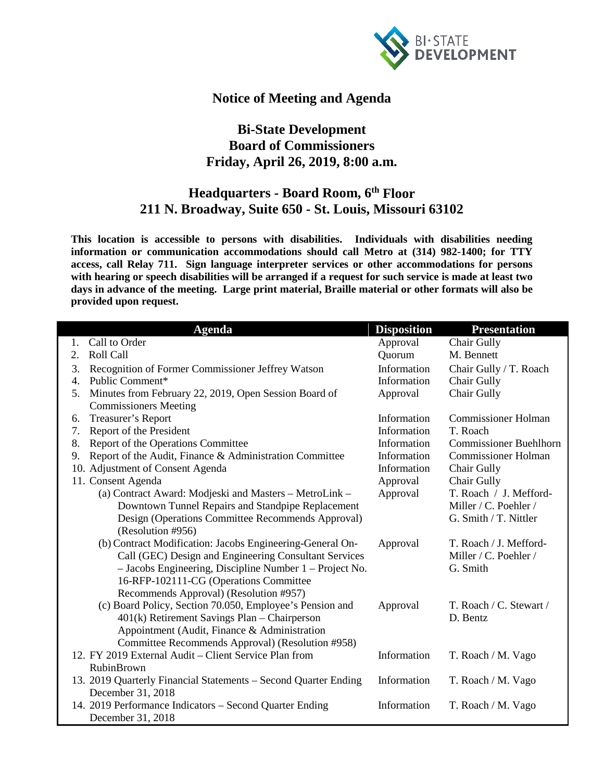

## **Notice of Meeting and Agenda**

## **Bi-State Development Board of Commissioners Friday, April 26, 2019, 8:00 a.m.**

## **Headquarters - Board Room, 6th Floor 211 N. Broadway, Suite 650 - St. Louis, Missouri 63102**

**This location is accessible to persons with disabilities. Individuals with disabilities needing information or communication accommodations should call Metro at (314) 982-1400; for TTY access, call Relay 711. Sign language interpreter services or other accommodations for persons with hearing or speech disabilities will be arranged if a request for such service is made at least two days in advance of the meeting. Large print material, Braille material or other formats will also be provided upon request.**

|    | <b>Agenda</b>                                                   | <b>Disposition</b> | <b>Presentation</b>           |
|----|-----------------------------------------------------------------|--------------------|-------------------------------|
| 1. | Call to Order                                                   | Approval           | Chair Gully                   |
| 2. | Roll Call                                                       | Quorum             | M. Bennett                    |
| 3. | Recognition of Former Commissioner Jeffrey Watson               | Information        | Chair Gully / T. Roach        |
| 4. | Public Comment*                                                 | Information        | Chair Gully                   |
| 5. | Minutes from February 22, 2019, Open Session Board of           | Approval           | Chair Gully                   |
|    | <b>Commissioners Meeting</b>                                    |                    |                               |
| 6. | Treasurer's Report                                              | Information        | <b>Commissioner Holman</b>    |
| 7. | Report of the President                                         | Information        | T. Roach                      |
| 8. | Report of the Operations Committee                              | Information        | <b>Commissioner Buehlhorn</b> |
| 9. | Report of the Audit, Finance & Administration Committee         | Information        | <b>Commissioner Holman</b>    |
|    | 10. Adjustment of Consent Agenda                                | Information        | Chair Gully                   |
|    | 11. Consent Agenda                                              | Approval           | Chair Gully                   |
|    | (a) Contract Award: Modjeski and Masters - MetroLink -          | Approval           | T. Roach / J. Mefford-        |
|    | Downtown Tunnel Repairs and Standpipe Replacement               |                    | Miller / C. Poehler /         |
|    | Design (Operations Committee Recommends Approval)               |                    | G. Smith / T. Nittler         |
|    | (Resolution #956)                                               |                    |                               |
|    | (b) Contract Modification: Jacobs Engineering-General On-       | Approval           | T. Roach / J. Mefford-        |
|    | Call (GEC) Design and Engineering Consultant Services           |                    | Miller / C. Poehler /         |
|    | - Jacobs Engineering, Discipline Number 1 – Project No.         |                    | G. Smith                      |
|    | 16-RFP-102111-CG (Operations Committee                          |                    |                               |
|    | Recommends Approval) (Resolution #957)                          |                    |                               |
|    | (c) Board Policy, Section 70.050, Employee's Pension and        | Approval           | T. Roach / C. Stewart /       |
|    | 401(k) Retirement Savings Plan - Chairperson                    |                    | D. Bentz                      |
|    | Appointment (Audit, Finance & Administration                    |                    |                               |
|    | Committee Recommends Approval) (Resolution #958)                |                    |                               |
|    | 12. FY 2019 External Audit – Client Service Plan from           | Information        | T. Roach / M. Vago            |
|    | <b>RubinBrown</b>                                               |                    |                               |
|    | 13. 2019 Quarterly Financial Statements - Second Quarter Ending | Information        | T. Roach / M. Vago            |
|    | December 31, 2018                                               |                    |                               |
|    | 14. 2019 Performance Indicators - Second Quarter Ending         | Information        | T. Roach / M. Vago            |
|    | December 31, 2018                                               |                    |                               |